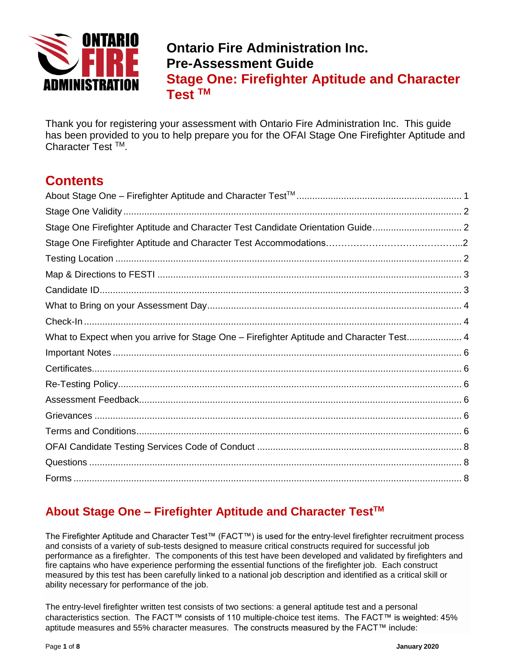

# **Ontario Fire Administration Inc. Pre-Assessment Guide Stage One: Firefighter Aptitude and Character Test TM**

Thank you for registering your assessment with Ontario Fire Administration Inc. This guide has been provided to you to help prepare you for the OFAI Stage One Firefighter Aptitude and Character Test TM.

# **Contents**

| Stage One Firefighter Aptitude and Character Test Candidate Orientation Guide            |  |
|------------------------------------------------------------------------------------------|--|
|                                                                                          |  |
|                                                                                          |  |
|                                                                                          |  |
|                                                                                          |  |
|                                                                                          |  |
|                                                                                          |  |
| What to Expect when you arrive for Stage One - Firefighter Aptitude and Character Test 4 |  |
|                                                                                          |  |
|                                                                                          |  |
|                                                                                          |  |
|                                                                                          |  |
|                                                                                          |  |
|                                                                                          |  |
|                                                                                          |  |
|                                                                                          |  |
|                                                                                          |  |

## <span id="page-0-0"></span>**About Stage One – Firefighter Aptitude and Character TestTM**

The Firefighter Aptitude and Character Test™ (FACT™) is used for the entry-level firefighter recruitment process and consists of a variety of sub-tests designed to measure critical constructs required for successful job performance as a firefighter. The components of this test have been developed and validated by firefighters and fire captains who have experience performing the essential functions of the firefighter job. Each construct measured by this test has been carefully linked to a national job description and identified as a critical skill or ability necessary for performance of the job.

The entry-level firefighter written test consists of two sections: a general aptitude test and a personal characteristics section. The FACT™ consists of 110 multiple-choice test items. The FACT™ is weighted: 45% aptitude measures and 55% character measures. The constructs measured by the FACT™ include: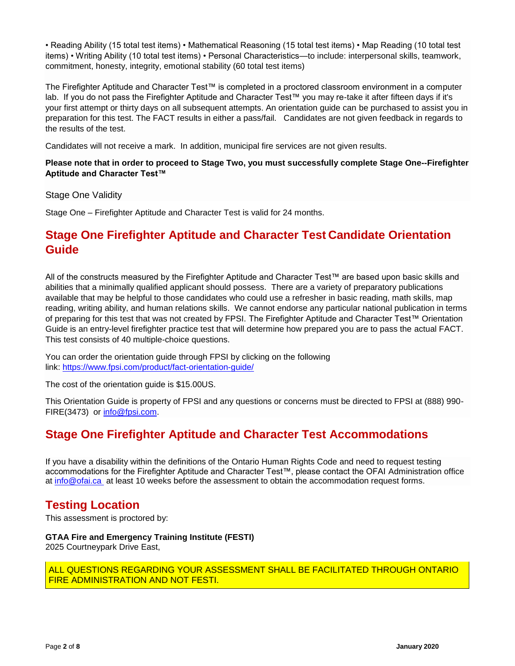• Reading Ability (15 total test items) • Mathematical Reasoning (15 total test items) • Map Reading (10 total test items) • Writing Ability (10 total test items) • Personal Characteristics—to include: interpersonal skills, teamwork, commitment, honesty, integrity, emotional stability (60 total test items)

The Firefighter Aptitude and Character Test™ is completed in a proctored classroom environment in a computer lab. If you do not pass the Firefighter Aptitude and Character Test™ you may re-take it after fifteen days if it's your first attempt or thirty days on all subsequent attempts. An orientation guide can be purchased to assist you in preparation for this test. The FACT results in either a pass/fail. Candidates are not given feedback in regards to the results of the test.

Candidates will not receive a mark. In addition, municipal fire services are not given results.

#### <span id="page-1-0"></span>**Please note that in order to proceed to Stage Two, you must successfully complete Stage One--Firefighter Aptitude and Character Test™**

Stage One Validity

Stage One – Firefighter Aptitude and Character Test is valid for 24 months.

## <span id="page-1-1"></span>**Stage One Firefighter Aptitude and Character Test Candidate Orientation Guide**

All of the constructs measured by the Firefighter Aptitude and Character Test™ are based upon basic skills and abilities that a minimally qualified applicant should possess. There are a variety of preparatory publications available that may be helpful to those candidates who could use a refresher in basic reading, math skills, map reading, writing ability, and human relations skills. We cannot endorse any particular national publication in terms of preparing for this test that was not created by FPSI. The Firefighter Aptitude and Character Test™ Orientation Guide is an entry-level firefighter practice test that will determine how prepared you are to pass the actual FACT. This test consists of 40 multiple-choice questions.

You can order the orientation guide through FPSI by clicking on the following link: <https://www.fpsi.com/product/fact-orientation-guide/>

The cost of the orientation guide is \$15.00US.

This Orientation Guide is property of FPSI and any questions or concerns must be directed to FPSI at (888) 990 FIRE(3473) or [info@fpsi.com.](mailto:info@fpsi.com)

## **Stage One Firefighter Aptitude and Character Test Accommodations**

If you have a disability within the definitions of the Ontario Human Rights Code and need to request testing accommodations for the Firefighter Aptitude and Character Test™, please contact the OFAI Administration office at [info@ofai.ca](mailto:info@ofai.ca) at least 10 weeks before the assessment to obtain the accommodation request forms.

## **Testing Location**

This assessment is proctored by:

#### **GTAA Fire and Emergency Training Institute (FESTI)** 2025 Courtneypark Drive East,

ALL QUESTIONS REGARDING YOUR ASSESSMENT SHALL BE FACILITATED THROUGH ONTARIO FIRE ADMINISTRATION AND NOT FESTI.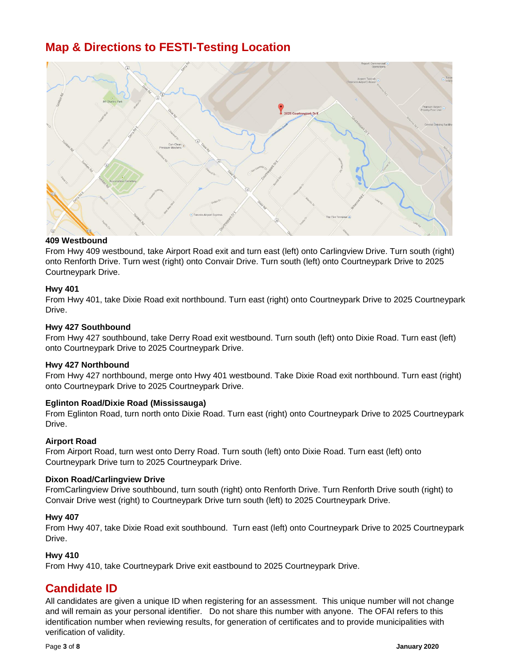## <span id="page-2-0"></span>**Map & Directions to FESTI-Testing Location**



### **409 Westbound**

From Hwy 409 westbound, take Airport Road exit and turn east (left) onto Carlingview Drive. Turn south (right) onto Renforth Drive. Turn west (right) onto Convair Drive. Turn south (left) onto Courtneypark Drive to 2025 Courtneypark Drive.

#### **Hwy 401**

From Hwy 401, take Dixie Road exit northbound. Turn east (right) onto Courtneypark Drive to 2025 Courtneypark Drive.

#### **Hwy 427 Southbound**

From Hwy 427 southbound, take Derry Road exit westbound. Turn south (left) onto Dixie Road. Turn east (left) onto Courtneypark Drive to 2025 Courtneypark Drive.

#### **Hwy 427 Northbound**

From Hwy 427 northbound, merge onto Hwy 401 westbound. Take Dixie Road exit northbound. Turn east (right) onto Courtneypark Drive to 2025 Courtneypark Drive.

#### **Eglinton Road/Dixie Road (Mississauga)**

From Eglinton Road, turn north onto Dixie Road. Turn east (right) onto Courtneypark Drive to 2025 Courtneypark Drive.

#### **Airport Road**

From Airport Road, turn west onto Derry Road. Turn south (left) onto Dixie Road. Turn east (left) onto Courtneypark Drive turn to 2025 Courtneypark Drive.

#### **Dixon Road/Carlingview Drive**

FromCarlingview Drive southbound, turn south (right) onto Renforth Drive. Turn Renforth Drive south (right) to Convair Drive west (right) to Courtneypark Drive turn south (left) to 2025 Courtneypark Drive.

#### **Hwy 407**

From Hwy 407, take Dixie Road exit southbound. Turn east (left) onto Courtneypark Drive to 2025 Courtneypark Drive.

### **Hwy 410**

From Hwy 410, take Courtneypark Drive exit eastbound to 2025 Courtneypark Drive.

## <span id="page-2-1"></span>**Candidate ID**

All candidates are given a unique ID when registering for an assessment. This unique number will not change and will remain as your personal identifier. Do not share this number with anyone. The OFAI refers to this identification number when reviewing results, for generation of certificates and to provide municipalities with verification of validity.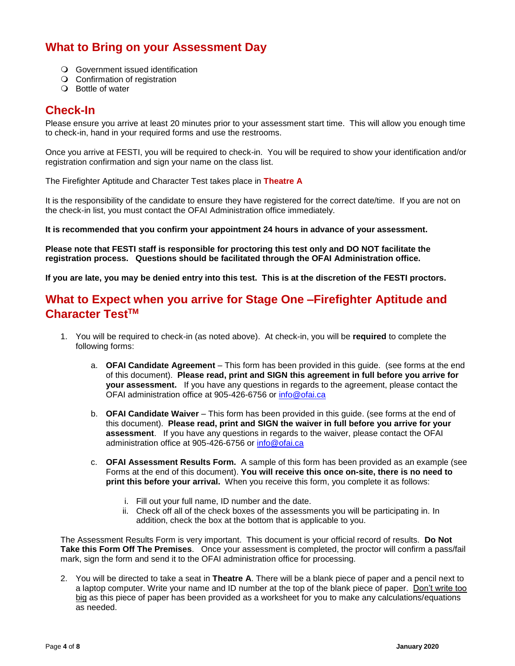## <span id="page-3-0"></span>**What to Bring on your Assessment Day**

- Government issued identification
- O Confirmation of registration
- Bottle of water

### <span id="page-3-1"></span>**Check-In**

Please ensure you arrive at least 20 minutes prior to your assessment start time. This will allow you enough time to check-in, hand in your required forms and use the restrooms.

Once you arrive at FESTI, you will be required to check-in. You will be required to show your identification and/or registration confirmation and sign your name on the class list.

The Firefighter Aptitude and Character Test takes place in **Theatre A**

It is the responsibility of the candidate to ensure they have registered for the correct date/time. If you are not on the check-in list, you must contact the OFAI Administration office immediately.

**It is recommended that you confirm your appointment 24 hours in advance of your assessment.** 

**Please note that FESTI staff is responsible for proctoring this test only and DO NOT facilitate the registration process. Questions should be facilitated through the OFAI Administration office.**

<span id="page-3-2"></span>**If you are late, you may be denied entry into this test. This is at the discretion of the FESTI proctors.**

## **What to Expect when you arrive for Stage One –Firefighter Aptitude and Character TestTM**

- 1. You will be required to check-in (as noted above). At check-in, you will be **required** to complete the following forms:
	- a. **OFAI Candidate Agreement** This form has been provided in this guide. (see forms at the end of this document). **Please read, print and SIGN this agreement in full before you arrive for your assessment.** If you have any questions in regards to the agreement, please contact the OFAI administration office at 905-426-6756 or [info@ofai.ca](mailto:info@ofai.ca)
	- b. **OFAI Candidate Waiver**  This form has been provided in this guide. (see forms at the end of this document). **Please read, print and SIGN the waiver in full before you arrive for your assessment**. If you have any questions in regards to the waiver, please contact the OFAI administration office at 905-426-6756 or [info@ofai.ca](mailto:info@ofai.ca)
	- c. **OFAI Assessment Results Form.** A sample of this form has been provided as an example (see Forms at the end of this document). **You will receive this once on-site, there is no need to print this before your arrival.** When you receive this form, you complete it as follows:
		- i. Fill out your full name, ID number and the date.
		- ii. Check off all of the check boxes of the assessments you will be participating in. In addition, check the box at the bottom that is applicable to you.

The Assessment Results Form is very important. This document is your official record of results. **Do Not Take this Form Off The Premises**. Once your assessment is completed, the proctor will confirm a pass/fail mark, sign the form and send it to the OFAI administration office for processing.

2. You will be directed to take a seat in **Theatre A**. There will be a blank piece of paper and a pencil next to a laptop computer. Write your name and ID number at the top of the blank piece of paper. Don't write too big as this piece of paper has been provided as a worksheet for you to make any calculations/equations as needed.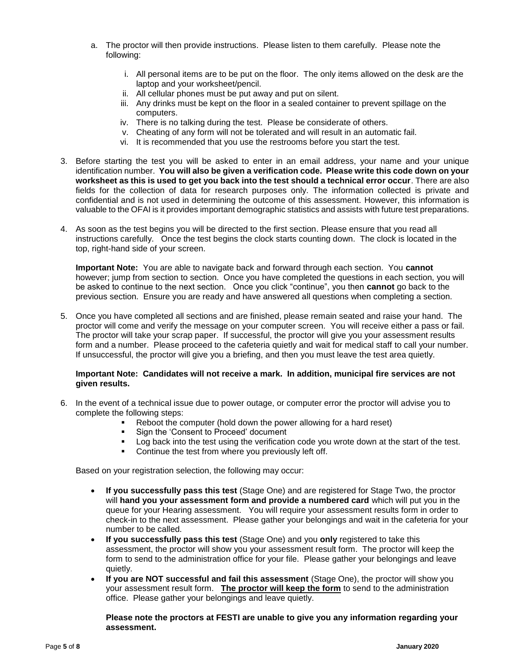- a. The proctor will then provide instructions. Please listen to them carefully. Please note the following:
	- i. All personal items are to be put on the floor. The only items allowed on the desk are the laptop and your worksheet/pencil.
	- ii. All cellular phones must be put away and put on silent.
	- iii. Any drinks must be kept on the floor in a sealed container to prevent spillage on the computers.
	- iv. There is no talking during the test. Please be considerate of others.
	- v. Cheating of any form will not be tolerated and will result in an automatic fail.
	- vi. It is recommended that you use the restrooms before you start the test.
- 3. Before starting the test you will be asked to enter in an email address, your name and your unique identification number. **You will also be given a verification code. Please write this code down on your worksheet as this is used to get you back into the test should a technical error occur**. There are also fields for the collection of data for research purposes only. The information collected is private and confidential and is not used in determining the outcome of this assessment. However, this information is valuable to the OFAI is it provides important demographic statistics and assists with future test preparations.
- 4. As soon as the test begins you will be directed to the first section. Please ensure that you read all instructions carefully. Once the test begins the clock starts counting down. The clock is located in the top, right-hand side of your screen.

**Important Note:** You are able to navigate back and forward through each section. You **cannot** however; jump from section to section. Once you have completed the questions in each section, you will be asked to continue to the next section. Once you click "continue", you then **cannot** go back to the previous section. Ensure you are ready and have answered all questions when completing a section.

5. Once you have completed all sections and are finished, please remain seated and raise your hand. The proctor will come and verify the message on your computer screen. You will receive either a pass or fail. The proctor will take your scrap paper. If successful, the proctor will give you your assessment results form and a number. Please proceed to the cafeteria quietly and wait for medical staff to call your number. If unsuccessful, the proctor will give you a briefing, and then you must leave the test area quietly.

#### **Important Note: Candidates will not receive a mark. In addition, municipal fire services are not given results.**

- 6. In the event of a technical issue due to power outage, or computer error the proctor will advise you to complete the following steps:
	- Reboot the computer (hold down the power allowing for a hard reset)
	- Sign the 'Consent to Proceed' document<br>I con back into the test using the verification
	- Log back into the test using the verification code you wrote down at the start of the test.
	- Continue the test from where you previously left off.

Based on your registration selection, the following may occur:

- **If you successfully pass this test** (Stage One) and are registered for Stage Two, the proctor will **hand you your assessment form and provide a numbered card** which will put you in the queue for your Hearing assessment. You will require your assessment results form in order to check-in to the next assessment. Please gather your belongings and wait in the cafeteria for your number to be called.
- **If you successfully pass this test** (Stage One) and you **only** registered to take this assessment, the proctor will show you your assessment result form. The proctor will keep the form to send to the administration office for your file. Please gather your belongings and leave quietly.
- **If you are NOT successful and fail this assessment** (Stage One), the proctor will show you your assessment result form. **The proctor will keep the form** to send to the administration office. Please gather your belongings and leave quietly.

**Please note the proctors at FESTI are unable to give you any information regarding your assessment.**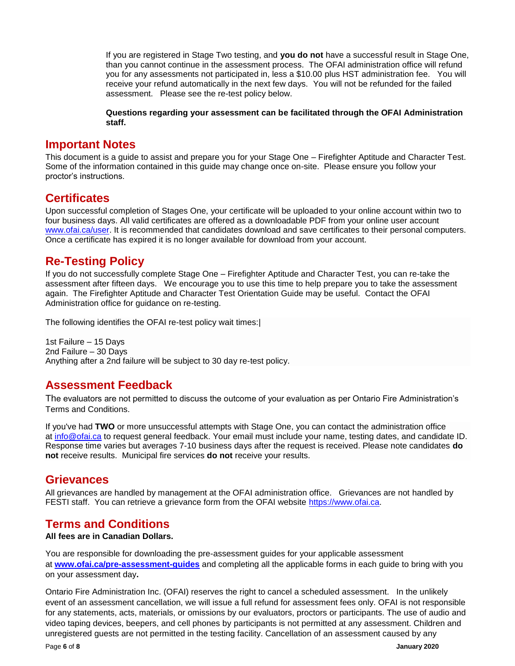If you are registered in Stage Two testing, and **you do not** have a successful result in Stage One, than you cannot continue in the assessment process. The OFAI administration office will refund you for any assessments not participated in, less a \$10.00 plus HST administration fee. You will receive your refund automatically in the next few days. You will not be refunded for the failed assessment. Please see the re-test policy below.

**Questions regarding your assessment can be facilitated through the OFAI Administration staff.** 

### <span id="page-5-0"></span>**Important Notes**

This document is a guide to assist and prepare you for your Stage One – Firefighter Aptitude and Character Test. Some of the information contained in this guide may change once on-site. Please ensure you follow your proctor's instructions.

## <span id="page-5-1"></span>**Certificates**

Upon successful completion of Stages One, your certificate will be uploaded to your online account within two to four business days. All valid certificates are offered as a downloadable PDF from your online user account [www.ofai.ca/user.](http://www.ofai.ca/user) It is recommended that candidates download and save certificates to their personal computers. Once a certificate has expired it is no longer available for download from your account.

## <span id="page-5-2"></span>**Re-Testing Policy**

If you do not successfully complete Stage One – Firefighter Aptitude and Character Test, you can re-take the assessment after fifteen days. We encourage you to use this time to help prepare you to take the assessment again. The Firefighter Aptitude and Character Test Orientation Guide may be useful. Contact the OFAI Administration office for guidance on re-testing.

<span id="page-5-3"></span>The following identifies the OFAI re-test policy wait times:|

1st Failure – 15 Days 2nd Failure – 30 Days Anything after a 2nd failure will be subject to 30 day re-test policy.

## **Assessment Feedback**

The evaluators are not permitted to discuss the outcome of your evaluation as per Ontario Fire Administration's Terms and Conditions.

If you've had **TWO** or more unsuccessful attempts with Stage One, you can contact the administration office at [info@ofai.ca](http://info@ofai.ca/) to request general feedback. Your email must include your name, testing dates, and candidate ID. Response time varies but averages 7-10 business days after the request is received. Please note candidates **do not** receive results. Municipal fire services **do not** receive your results.

## **Grievances**

<span id="page-5-4"></span>All grievances are handled by management at the OFAI administration office. Grievances are not handled by FESTI staff. You can retrieve a grievance form from the OFAI website [https://www.ofai.ca.](https://www.ofai.ca/)

## **Terms and Conditions**

### **All fees are in Canadian Dollars.**

You are responsible for downloading the pre-assessment guides for your applicable assessment at **[www.ofai.ca/pre-assessment-guides](http://www.ofai.ca/pre-assessment-guides)** and completing all the applicable forms in each guide to bring with you on your assessment day**.** 

Ontario Fire Administration Inc. (OFAI) reserves the right to cancel a scheduled assessment. In the unlikely event of an assessment cancellation, we will issue a full refund for assessment fees only. OFAI is not responsible for any statements, acts, materials, or omissions by our evaluators, proctors or participants. The use of audio and video taping devices, beepers, and cell phones by participants is not permitted at any assessment. Children and unregistered guests are not permitted in the testing facility. Cancellation of an assessment caused by any

Page **6** of **8 January 2020**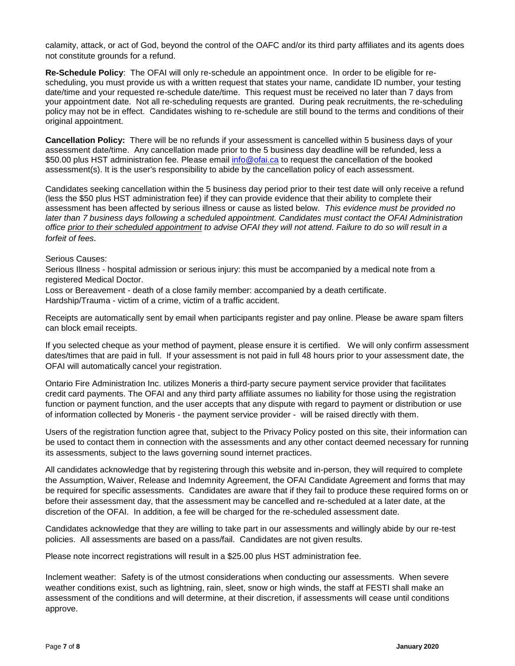calamity, attack, or act of God, beyond the control of the OAFC and/or its third party affiliates and its agents does not constitute grounds for a refund.

**Re-Schedule Policy**: The OFAI will only re-schedule an appointment once. In order to be eligible for rescheduling, you must provide us with a written request that states your name, candidate ID number, your testing date/time and your requested re-schedule date/time. This request must be received no later than 7 days from your appointment date. Not all re-scheduling requests are granted. During peak recruitments, the re-scheduling policy may not be in effect. Candidates wishing to re-schedule are still bound to the terms and conditions of their original appointment.

**Cancellation Policy:** There will be no refunds if your assessment is cancelled within 5 business days of your assessment date/time. Any cancellation made prior to the 5 business day deadline will be refunded, less a \$50.00 plus HST administration fee. Please email [info@ofai.ca](mailto:info@ofai.ca) to request the cancellation of the booked assessment(s). It is the user's responsibility to abide by the cancellation policy of each assessment.

Candidates seeking cancellation within the 5 business day period prior to their test date will only receive a refund (less the \$50 plus HST administration fee) if they can provide evidence that their ability to complete their assessment has been affected by serious illness or cause as listed below. *This evidence must be provided no*  later than 7 business days following a scheduled appointment. Candidates must contact the OFAI Administration *office prior to their scheduled appointment to advise OFAI they will not attend. Failure to do so will result in a forfeit of fees.*

#### Serious Causes:

Serious Illness - hospital admission or serious injury: this must be accompanied by a medical note from a registered Medical Doctor.

Loss or Bereavement - death of a close family member: accompanied by a death certificate. Hardship/Trauma - victim of a crime, victim of a traffic accident.

Receipts are automatically sent by email when participants register and pay online. Please be aware spam filters can block email receipts.

If you selected cheque as your method of payment, please ensure it is certified. We will only confirm assessment dates/times that are paid in full. If your assessment is not paid in full 48 hours prior to your assessment date, the OFAI will automatically cancel your registration.

Ontario Fire Administration Inc. utilizes Moneris a third-party secure payment service provider that facilitates credit card payments. The OFAI and any third party affiliate assumes no liability for those using the registration function or payment function, and the user accepts that any dispute with regard to payment or distribution or use of information collected by Moneris - the payment service provider - will be raised directly with them.

Users of the registration function agree that, subject to the Privacy Policy posted on this site, their information can be used to contact them in connection with the assessments and any other contact deemed necessary for running its assessments, subject to the laws governing sound internet practices.

All candidates acknowledge that by registering through this website and in-person, they will required to complete the Assumption, Waiver, Release and Indemnity Agreement, the OFAI Candidate Agreement and forms that may be required for specific assessments. Candidates are aware that if they fail to produce these required forms on or before their assessment day, that the assessment may be cancelled and re-scheduled at a later date, at the discretion of the OFAI. In addition, a fee will be charged for the re-scheduled assessment date.

Candidates acknowledge that they are willing to take part in our assessments and willingly abide by our re-test policies. All assessments are based on a pass/fail. Candidates are not given results.

Please note incorrect registrations will result in a \$25.00 plus HST administration fee.

Inclement weather: Safety is of the utmost considerations when conducting our assessments. When severe weather conditions exist, such as lightning, rain, sleet, snow or high winds, the staff at FESTI shall make an assessment of the conditions and will determine, at their discretion, if assessments will cease until conditions approve.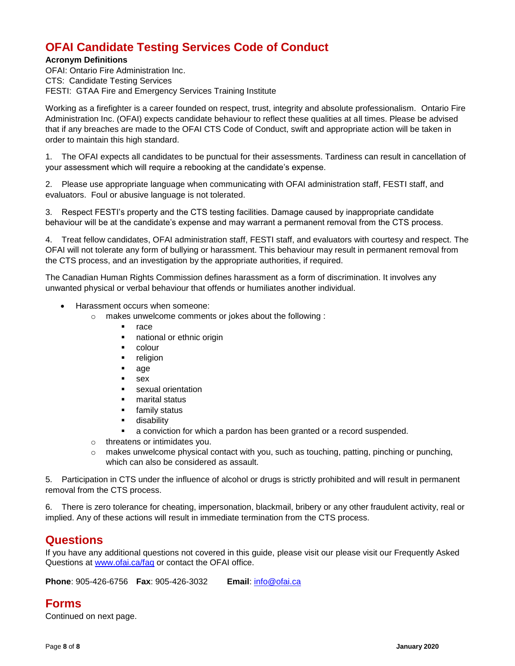## **OFAI Candidate Testing Services Code of Conduct**

### **Acronym Definitions**

OFAI: Ontario Fire Administration Inc. CTS: Candidate Testing Services FESTI: GTAA Fire and Emergency Services Training Institute

Working as a firefighter is a career founded on respect, trust, integrity and absolute professionalism. Ontario Fire Administration Inc. (OFAI) expects candidate behaviour to reflect these qualities at all times. Please be advised that if any breaches are made to the OFAI CTS Code of Conduct, swift and appropriate action will be taken in order to maintain this high standard.

1. The OFAI expects all candidates to be punctual for their assessments. Tardiness can result in cancellation of your assessment which will require a rebooking at the candidate's expense.

2. Please use appropriate language when communicating with OFAI administration staff, FESTI staff, and evaluators. Foul or abusive language is not tolerated.

3. Respect FESTI's property and the CTS testing facilities. Damage caused by inappropriate candidate behaviour will be at the candidate's expense and may warrant a permanent removal from the CTS process.

4. Treat fellow candidates, OFAI administration staff, FESTI staff, and evaluators with courtesy and respect. The OFAI will not tolerate any form of bullying or harassment. This behaviour may result in permanent removal from the CTS process, and an investigation by the appropriate authorities, if required.

The Canadian Human Rights Commission defines harassment as a form of discrimination. It involves any unwanted physical or verbal behaviour that offends or humiliates another individual.

- Harassment occurs when someone:
	- o makes unwelcome comments or jokes about the following :
		- **•** race
		- national or ethnic origin
		- colour
		- **•** religion
		- age
		- $-$ sex
		- **sexual orientation**
		- **narital status**
		- **Figure 1** family status
		- **disability**
		- a conviction for which a pardon has been granted or a record suspended.
	- o threatens or intimidates you.
	- o makes unwelcome physical contact with you, such as touching, patting, pinching or punching, which can also be considered as assault.

5. Participation in CTS under the influence of alcohol or drugs is strictly prohibited and will result in permanent removal from the CTS process.

6. There is zero tolerance for cheating, impersonation, blackmail, bribery or any other fraudulent activity, real or implied. Any of these actions will result in immediate termination from the CTS process.

## **Questions**

If you have any additional questions not covered in this guide, please visit our please visit our Frequently Asked Questions at [www.ofai.ca/faq](http://www.ofai.ca/faq) or contact the OFAI office.

<span id="page-7-0"></span>**Phone**: 905-426-6756 **Fax**: 905-426-3032 **Email**: [info@ofai.ca](mailto:info@ofai.ca)

## **Forms**

Continued on next page.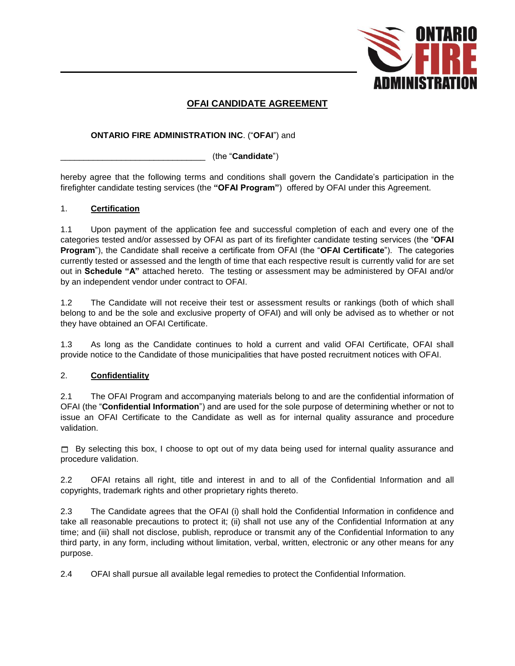

### **OFAI CANDIDATE AGREEMENT**

### **ONTARIO FIRE ADMINISTRATION INC**. ("**OFAI**") and

\_\_\_\_\_\_\_\_\_\_\_\_\_\_\_\_\_\_\_\_\_\_\_\_\_\_\_\_\_\_\_ (the "**Candidate**")

hereby agree that the following terms and conditions shall govern the Candidate's participation in the firefighter candidate testing services (the **"OFAI Program"**) offered by OFAI under this Agreement.

### 1. **Certification**

1.1 Upon payment of the application fee and successful completion of each and every one of the categories tested and/or assessed by OFAI as part of its firefighter candidate testing services (the "**OFAI Program**"), the Candidate shall receive a certificate from OFAI (the "**OFAI Certificate**"). The categories currently tested or assessed and the length of time that each respective result is currently valid for are set out in **Schedule "A"** attached hereto. The testing or assessment may be administered by OFAI and/or by an independent vendor under contract to OFAI.

1.2 The Candidate will not receive their test or assessment results or rankings (both of which shall belong to and be the sole and exclusive property of OFAI) and will only be advised as to whether or not they have obtained an OFAI Certificate.

1.3 As long as the Candidate continues to hold a current and valid OFAI Certificate, OFAI shall provide notice to the Candidate of those municipalities that have posted recruitment notices with OFAI.

### 2. **Confidentiality**

2.1 The OFAI Program and accompanying materials belong to and are the confidential information of OFAI (the "**Confidential Information**") and are used for the sole purpose of determining whether or not to issue an OFAI Certificate to the Candidate as well as for internal quality assurance and procedure validation.

 $\Box$  By selecting this box, I choose to opt out of my data being used for internal quality assurance and procedure validation.

2.2 OFAI retains all right, title and interest in and to all of the Confidential Information and all copyrights, trademark rights and other proprietary rights thereto.

2.3 The Candidate agrees that the OFAI (i) shall hold the Confidential Information in confidence and take all reasonable precautions to protect it; (ii) shall not use any of the Confidential Information at any time; and (iii) shall not disclose, publish, reproduce or transmit any of the Confidential Information to any third party, in any form, including without limitation, verbal, written, electronic or any other means for any purpose.

2.4 OFAI shall pursue all available legal remedies to protect the Confidential Information.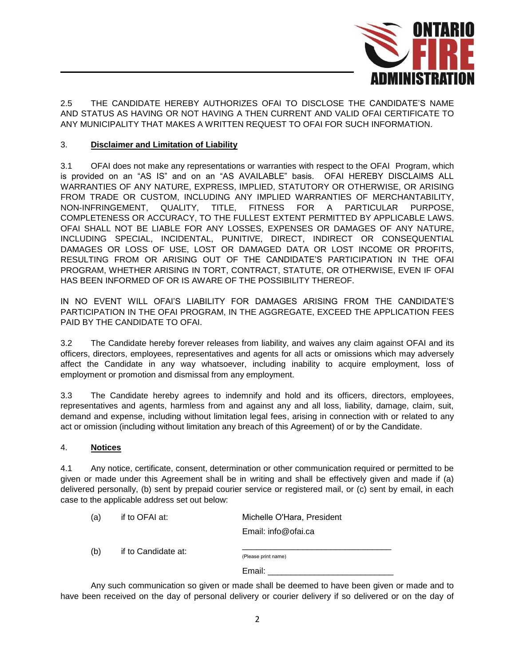

2.5 THE CANDIDATE HEREBY AUTHORIZES OFAI TO DISCLOSE THE CANDIDATE'S NAME AND STATUS AS HAVING OR NOT HAVING A THEN CURRENT AND VALID OFAI CERTIFICATE TO ANY MUNICIPALITY THAT MAKES A WRITTEN REQUEST TO OFAI FOR SUCH INFORMATION.

### 3. **Disclaimer and Limitation of Liability**

3.1 OFAI does not make any representations or warranties with respect to the OFAI Program, which is provided on an "AS IS" and on an "AS AVAILABLE" basis. OFAI HEREBY DISCLAIMS ALL WARRANTIES OF ANY NATURE, EXPRESS, IMPLIED, STATUTORY OR OTHERWISE, OR ARISING FROM TRADE OR CUSTOM, INCLUDING ANY IMPLIED WARRANTIES OF MERCHANTABILITY, NON-INFRINGEMENT, QUALITY, TITLE, FITNESS FOR A PARTICULAR PURPOSE, COMPLETENESS OR ACCURACY, TO THE FULLEST EXTENT PERMITTED BY APPLICABLE LAWS. OFAI SHALL NOT BE LIABLE FOR ANY LOSSES, EXPENSES OR DAMAGES OF ANY NATURE, INCLUDING SPECIAL, INCIDENTAL, PUNITIVE, DIRECT, INDIRECT OR CONSEQUENTIAL DAMAGES OR LOSS OF USE, LOST OR DAMAGED DATA OR LOST INCOME OR PROFITS, RESULTING FROM OR ARISING OUT OF THE CANDIDATE'S PARTICIPATION IN THE OFAI PROGRAM, WHETHER ARISING IN TORT, CONTRACT, STATUTE, OR OTHERWISE, EVEN IF OFAI HAS BEEN INFORMED OF OR IS AWARE OF THE POSSIBILITY THEREOF.

IN NO EVENT WILL OFAI'S LIABILITY FOR DAMAGES ARISING FROM THE CANDIDATE'S PARTICIPATION IN THE OFAI PROGRAM, IN THE AGGREGATE, EXCEED THE APPLICATION FEES PAID BY THE CANDIDATE TO OFAI.

3.2 The Candidate hereby forever releases from liability, and waives any claim against OFAI and its officers, directors, employees, representatives and agents for all acts or omissions which may adversely affect the Candidate in any way whatsoever, including inability to acquire employment, loss of employment or promotion and dismissal from any employment.

3.3 The Candidate hereby agrees to indemnify and hold and its officers, directors, employees, representatives and agents, harmless from and against any and all loss, liability, damage, claim, suit, demand and expense, including without limitation legal fees, arising in connection with or related to any act or omission (including without limitation any breach of this Agreement) of or by the Candidate.

#### 4. **Notices**

4.1 Any notice, certificate, consent, determination or other communication required or permitted to be given or made under this Agreement shall be in writing and shall be effectively given and made if (a) delivered personally, (b) sent by prepaid courier service or registered mail, or (c) sent by email, in each case to the applicable address set out below:

| (a) | if to OFAI at:      | Michelle O'Hara, President |
|-----|---------------------|----------------------------|
|     |                     | Email: info@ofai.ca        |
| (b) | if to Candidate at: | (Please print name)        |
|     |                     | Email:                     |

Any such communication so given or made shall be deemed to have been given or made and to have been received on the day of personal delivery or courier delivery if so delivered or on the day of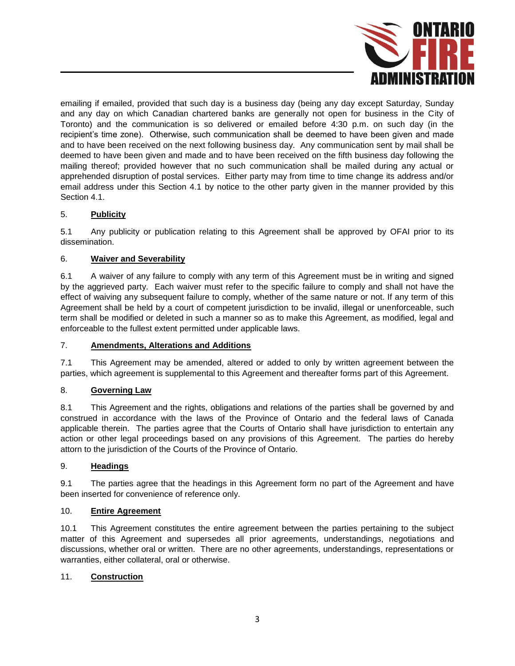

emailing if emailed, provided that such day is a business day (being any day except Saturday, Sunday and any day on which Canadian chartered banks are generally not open for business in the City of Toronto) and the communication is so delivered or emailed before 4:30 p.m. on such day (in the recipient's time zone). Otherwise, such communication shall be deemed to have been given and made and to have been received on the next following business day. Any communication sent by mail shall be deemed to have been given and made and to have been received on the fifth business day following the mailing thereof; provided however that no such communication shall be mailed during any actual or apprehended disruption of postal services. Either party may from time to time change its address and/or email address under this Section 4.1 by notice to the other party given in the manner provided by this Section 4.1.

### 5. **Publicity**

5.1 Any publicity or publication relating to this Agreement shall be approved by OFAI prior to its dissemination.

### 6. **Waiver and Severability**

6.1 A waiver of any failure to comply with any term of this Agreement must be in writing and signed by the aggrieved party. Each waiver must refer to the specific failure to comply and shall not have the effect of waiving any subsequent failure to comply, whether of the same nature or not. If any term of this Agreement shall be held by a court of competent jurisdiction to be invalid, illegal or unenforceable, such term shall be modified or deleted in such a manner so as to make this Agreement, as modified, legal and enforceable to the fullest extent permitted under applicable laws.

### 7. **Amendments, Alterations and Additions**

7.1 This Agreement may be amended, altered or added to only by written agreement between the parties, which agreement is supplemental to this Agreement and thereafter forms part of this Agreement.

### 8. **Governing Law**

8.1 This Agreement and the rights, obligations and relations of the parties shall be governed by and construed in accordance with the laws of the Province of Ontario and the federal laws of Canada applicable therein. The parties agree that the Courts of Ontario shall have jurisdiction to entertain any action or other legal proceedings based on any provisions of this Agreement. The parties do hereby attorn to the jurisdiction of the Courts of the Province of Ontario.

### 9. **Headings**

9.1 The parties agree that the headings in this Agreement form no part of the Agreement and have been inserted for convenience of reference only.

### 10. **Entire Agreement**

10.1 This Agreement constitutes the entire agreement between the parties pertaining to the subject matter of this Agreement and supersedes all prior agreements, understandings, negotiations and discussions, whether oral or written. There are no other agreements, understandings, representations or warranties, either collateral, oral or otherwise.

### 11. **Construction**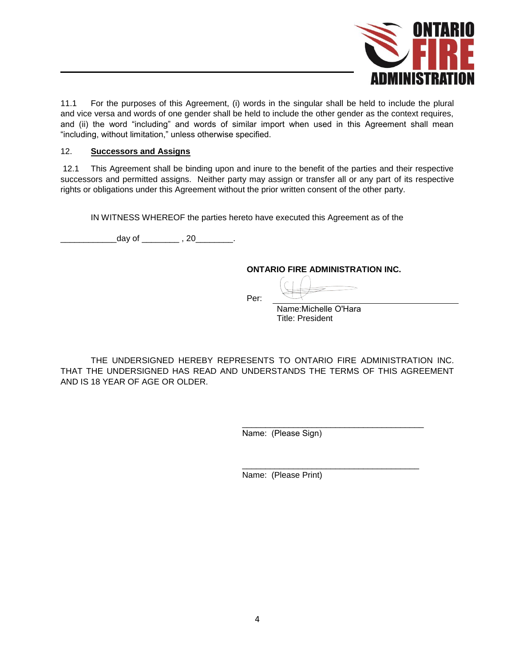

11.1 For the purposes of this Agreement, (i) words in the singular shall be held to include the plural and vice versa and words of one gender shall be held to include the other gender as the context requires, and (ii) the word "including" and words of similar import when used in this Agreement shall mean "including, without limitation," unless otherwise specified.

### 12. **Successors and Assigns**

12.1 This Agreement shall be binding upon and inure to the benefit of the parties and their respective successors and permitted assigns. Neither party may assign or transfer all or any part of its respective rights or obligations under this Agreement without the prior written consent of the other party.

IN WITNESS WHEREOF the parties hereto have executed this Agreement as of the

 $\Box$  day of  $\Box$ , 20

### **ONTARIO FIRE ADMINISTRATION INC.**

Per:

Name:Michelle O'Hara Title: President

\_\_\_\_\_\_\_\_\_\_\_\_\_\_\_\_\_\_\_\_\_\_\_\_\_\_\_\_\_\_\_\_\_\_\_\_\_\_

THE UNDERSIGNED HEREBY REPRESENTS TO ONTARIO FIRE ADMINISTRATION INC. THAT THE UNDERSIGNED HAS READ AND UNDERSTANDS THE TERMS OF THIS AGREEMENT AND IS 18 YEAR OF AGE OR OLDER.

> \_\_\_\_\_\_\_\_\_\_\_\_\_\_\_\_\_\_\_\_\_\_\_\_\_\_\_\_\_\_\_\_\_\_\_\_\_\_\_ Name: (Please Sign)

Name: (Please Print)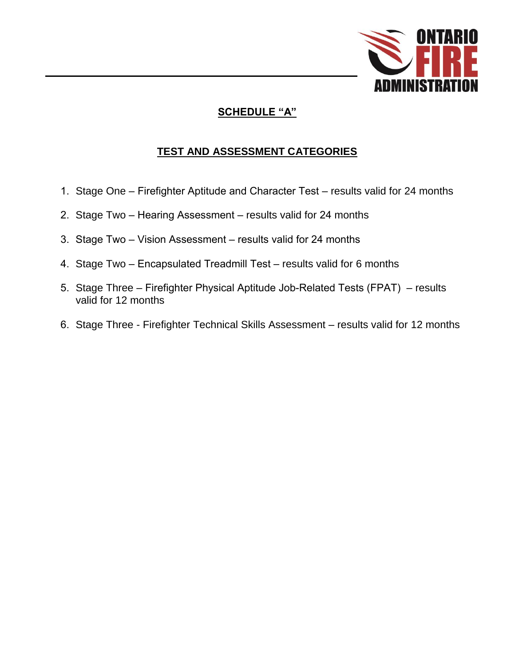

## **SCHEDULE "A"**

## **TEST AND ASSESSMENT CATEGORIES**

- 1. Stage One Firefighter Aptitude and Character Test results valid for 24 months
- 2. Stage Two Hearing Assessment results valid for 24 months
- 3. Stage Two Vision Assessment results valid for 24 months
- 4. Stage Two Encapsulated Treadmill Test results valid for 6 months
- 5. Stage Three Firefighter Physical Aptitude Job-Related Tests (FPAT) results valid for 12 months
- 6. Stage Three Firefighter Technical Skills Assessment results valid for 12 months